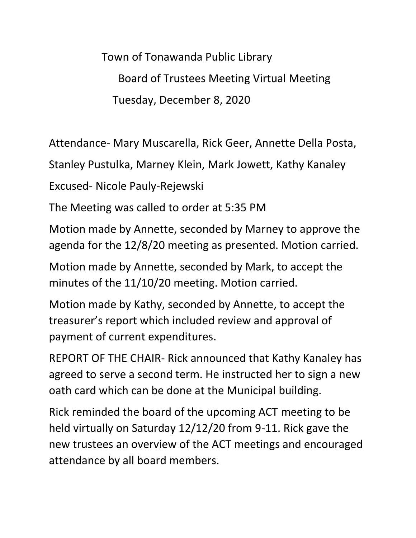Town of Tonawanda Public Library Board of Trustees Meeting Virtual Meeting Tuesday, December 8, 2020

Attendance- Mary Muscarella, Rick Geer, Annette Della Posta,

Stanley Pustulka, Marney Klein, Mark Jowett, Kathy Kanaley

Excused- Nicole Pauly-Rejewski

The Meeting was called to order at 5:35 PM

Motion made by Annette, seconded by Marney to approve the agenda for the 12/8/20 meeting as presented. Motion carried.

Motion made by Annette, seconded by Mark, to accept the minutes of the 11/10/20 meeting. Motion carried.

Motion made by Kathy, seconded by Annette, to accept the treasurer's report which included review and approval of payment of current expenditures.

REPORT OF THE CHAIR- Rick announced that Kathy Kanaley has agreed to serve a second term. He instructed her to sign a new oath card which can be done at the Municipal building.

Rick reminded the board of the upcoming ACT meeting to be held virtually on Saturday 12/12/20 from 9-11. Rick gave the new trustees an overview of the ACT meetings and encouraged attendance by all board members.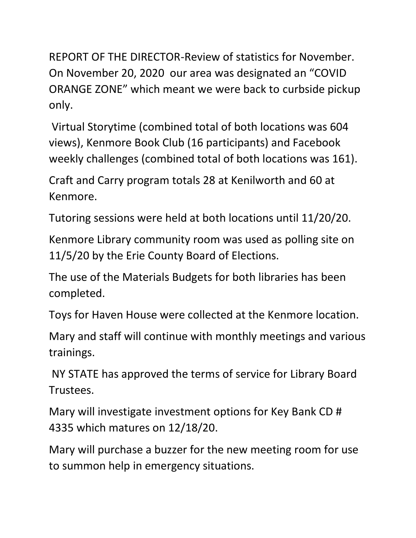REPORT OF THE DIRECTOR-Review of statistics for November. On November 20, 2020 our area was designated an "COVID ORANGE ZONE" which meant we were back to curbside pickup only.

Virtual Storytime (combined total of both locations was 604 views), Kenmore Book Club (16 participants) and Facebook weekly challenges (combined total of both locations was 161).

Craft and Carry program totals 28 at Kenilworth and 60 at Kenmore.

Tutoring sessions were held at both locations until 11/20/20.

Kenmore Library community room was used as polling site on 11/5/20 by the Erie County Board of Elections.

The use of the Materials Budgets for both libraries has been completed.

Toys for Haven House were collected at the Kenmore location.

Mary and staff will continue with monthly meetings and various trainings.

NY STATE has approved the terms of service for Library Board Trustees.

Mary will investigate investment options for Key Bank CD # 4335 which matures on 12/18/20.

Mary will purchase a buzzer for the new meeting room for use to summon help in emergency situations.